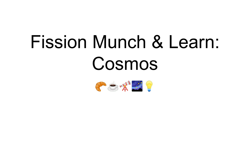# Fission Munch & Learn: Cosmos

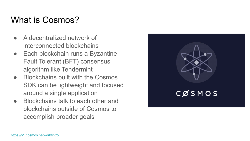## What is Cosmos?

- A decentralized network of interconnected blockchains
- Each blockchain runs a Byzantine Fault Tolerant (BFT) consensus algorithm like Tendermint
- Blockchains built with the Cosmos SDK can be lightweight and focused around a single application
- Blockchains talk to each other and blockchains outside of Cosmos to accomplish broader goals

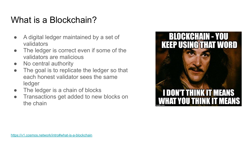## What is a Blockchain?

- A digital ledger maintained by a set of validators
- The ledger is correct even if some of the validators are malicious
- No central authority
- The goal is to replicate the ledger so that each honest validator sees the same ledger
- The ledger is a chain of blocks
- Transactions get added to new blocks on the chain

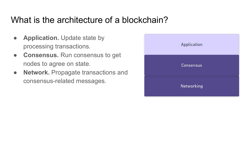#### What is the architecture of a blockchain?

- **● Application.** Update state by processing transactions.
- **● Consensus.** Run consensus to get nodes to agree on state.
- **● Network.** Propagate transactions and consensus-related messages.

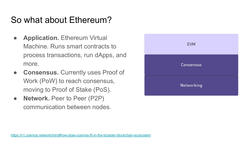## So what about Ethereum?

- **Application.** Ethereum Virtual Machine. Runs smart contracts to process transactions, run dApps, and more.
- **● Consensus.** Currently uses Proof of Work (PoW) to reach consensus, moving to Proof of Stake (PoS).
- **● Network.** Peer to Peer (P2P) communication between nodes.

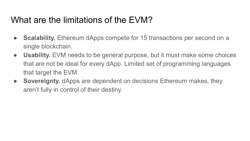## What are the limitations of the EVM?

- **Scalability.** Ethereum dApps compete for 15 transactions per second on a single blockchain.
- **● Usability.** EVM needs to be general purpose, but it must make some choices that are not be ideal for every dApp. Limited set of programming languages that target the EVM.
- **● Sovereignty.** dApps are dependent on decisions Ethereum makes, they aren't fully in control of their destiny.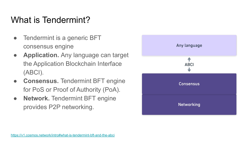## What is Tendermint?

- Tendermint is a generic BFT consensus engine
- **● Application.** Any language can target the Application Blockchain Interface (ABCI).
- **● Consensus.** Tendermint BFT engine for PoS or Proof of Authority (PoA).
- **● Network.** Tendermint BFT engine provides P2P networking.

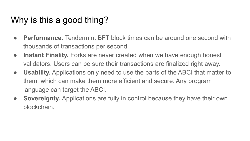## Why is this a good thing?

- **● Performance.** Tendermint BFT block times can be around one second with thousands of transactions per second.
- **Instant Finality.** Forks are never created when we have enough honest validators. Users can be sure their transactions are finalized right away.
- **● Usability.** Applications only need to use the parts of the ABCI that matter to them, which can make them more efficient and secure. Any program language can target the ABCI.
- **Sovereignty.** Applications are fully in control because they have their own blockchain.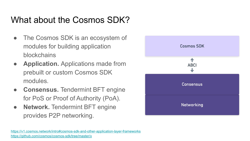## What about the Cosmos SDK?

- The Cosmos SDK is an ecosystem of modules for building application blockchains
- **Application.** Applications made from prebuilt or custom Cosmos SDK modules.
- **● Consensus.** Tendermint BFT engine for PoS or Proof of Authority (PoA).
- **● Network.** Tendermint BFT engine provides P2P networking.

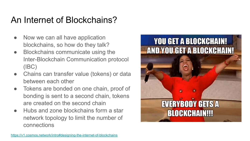## An Internet of Blockchains?

- Now we can all have application blockchains, so how do they talk?
- Blockchains communicate using the Inter-Blockchain Communication protocol (IBC)
- Chains can transfer value (tokens) or data between each other
- Tokens are bonded on one chain, proof of bonding is sent to a second chain, tokens are created on the second chain
- Hubs and zone blockchains form a star network topology to limit the number of connections

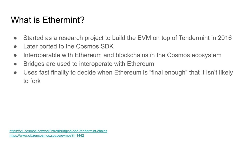## What is Ethermint?

- Started as a research project to build the EVM on top of Tendermint in 2016
- Later ported to the Cosmos SDK
- Interoperable with Ethereum and blockchains in the Cosmos ecosystem
- Bridges are used to interoperate with Ethereum
- Uses fast finality to decide when Ethereum is "final enough" that it isn't likely to fork